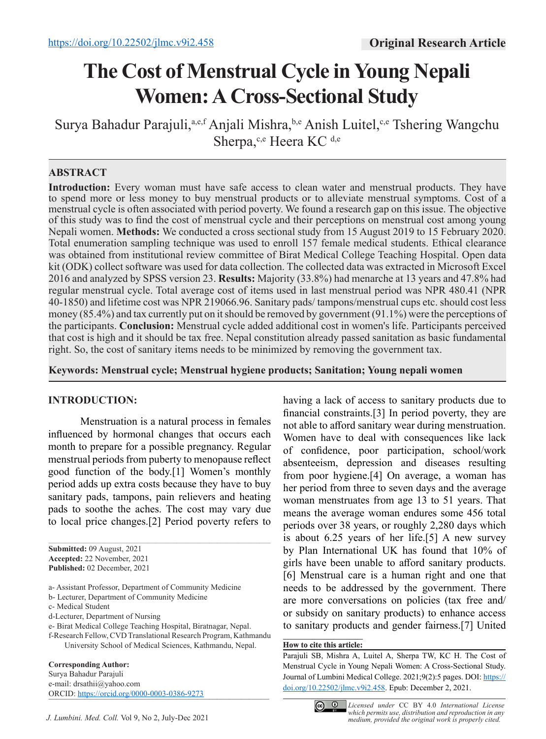# **The Cost of Menstrual Cycle in Young Nepali Women: A Cross-Sectional Study**

Surya Bahadur Parajuli,<sup>a,e,f</sup> Anjali Mishra,<sup>b,e</sup> Anish Luitel,<sup>c,e</sup> Tshering Wangchu Sherpa,<sup>c,e</sup> Heera KC<sup>d,e</sup>

## **ABSTRACT**

**Introduction:** Every woman must have safe access to clean water and menstrual products. They have to spend more or less money to buy menstrual products or to alleviate menstrual symptoms. Cost of a menstrual cycle is often associated with period poverty. We found a research gap on this issue. The objective of this study was to find the cost of menstrual cycle and their perceptions on menstrual cost among young Nepali women. **Methods:** We conducted a cross sectional study from 15 August 2019 to 15 February 2020. Total enumeration sampling technique was used to enroll 157 female medical students. Ethical clearance was obtained from institutional review committee of Birat Medical College Teaching Hospital. Open data kit (ODK) collect software was used for data collection. The collected data was extracted in Microsoft Excel 2016 and analyzed by SPSS version 23. **Results:** Majority (33.8%) had menarche at 13 years and 47.8% had regular menstrual cycle. Total average cost of items used in last menstrual period was NPR 480.41 (NPR 40-1850) and lifetime cost was NPR 219066.96. Sanitary pads/ tampons/menstrual cups etc. should cost less money (85.4%) and tax currently put on it should be removed by government (91.1%) were the perceptions of the participants. **Conclusion:** Menstrual cycle added additional cost in women's life. Participants perceived that cost is high and it should be tax free. Nepal constitution already passed sanitation as basic fundamental right. So, the cost of sanitary items needs to be minimized by removing the government tax.

**Keywords: Menstrual cycle; Menstrual hygiene products; Sanitation; Young nepali women** 

## **INTRODUCTION:**

Menstruation is a natural process in females influenced by hormonal changes that occurs each month to prepare for a possible pregnancy. Regular menstrual periods from puberty to menopause reflect good function of the body.[1] Women's monthly period adds up extra costs because they have to buy sanitary pads, tampons, pain relievers and heating pads to soothe the aches. The cost may vary due to local price changes.[2] Period poverty refers to

**Submitted:** 09 August, 2021 **Accepted:** 22 November, 2021 **Published:** 02 December, 2021

a- Assistant Professor, Department of Community Medicine

- b- Lecturer, Department of Community Medicine
- c- Medical Student
- d-Lecturer, Department of Nursing

e- Birat Medical College Teaching Hospital, Biratnagar, Nepal.

f-Research Fellow, CVD Translational Research Program, Kathmandu University School of Medical Sciences, Kathmandu, Nepal.

**Corresponding Author:**

Surya Bahadur Parajuli e-mail: drsathii@yahoo.com ORCID: https://orcid.org/0000-0003-0386-9273 having a lack of access to sanitary products due to financial constraints.[3] In period poverty, they are not able to afford sanitary wear during menstruation. Women have to deal with consequences like lack of confidence, poor participation, school/work absenteeism, depression and diseases resulting from poor hygiene.[4] On average, a woman has her period from three to seven days and the average woman menstruates from age 13 to 51 years. That means the average woman endures some 456 total periods over 38 years, or roughly 2,280 days which is about 6.25 years of her life.[5] A new survey by Plan International UK has found that 10% of girls have been unable to afford sanitary products. [6] Menstrual care is a human right and one that needs to be addressed by the government. There are more conversations on policies (tax free and/ or subsidy on sanitary products) to enhance access to sanitary products and gender fairness.[7] United

#### **How to cite this article:**

Parajuli SB, Mishra A, Luitel A, Sherpa TW, KC H. The Cost of Menstrual Cycle in Young Nepali Women: A Cross-Sectional Study. Journal of Lumbini Medical College. 2021;9(2):5 pages. DOI: https:// doi.org/10.22502/jlmc.v9i2.458. Epub: December 2, 2021.



*Licensed under* CC BY 4.0 *International License which permits use, distribution and reproduction in any medium, provided the original work is properly cited.*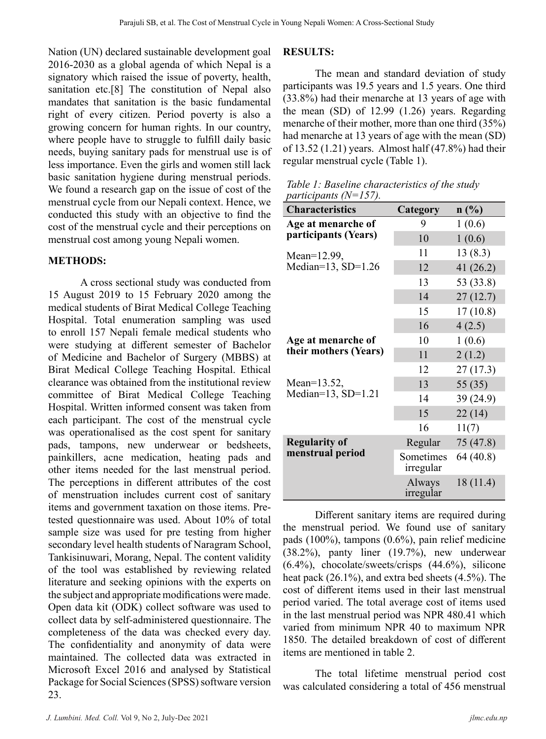Nation (UN) declared sustainable development goal 2016-2030 as a global agenda of which Nepal is a signatory which raised the issue of poverty, health, sanitation etc.[8] The constitution of Nepal also mandates that sanitation is the basic fundamental right of every citizen. Period poverty is also a growing concern for human rights. In our country, where people have to struggle to fulfill daily basic needs, buying sanitary pads for menstrual use is of less importance. Even the girls and women still lack basic sanitation hygiene during menstrual periods. We found a research gap on the issue of cost of the menstrual cycle from our Nepali context. Hence, we conducted this study with an objective to find the cost of the menstrual cycle and their perceptions on menstrual cost among young Nepali women.

#### **METHODS:**

A cross sectional study was conducted from 15 August 2019 to 15 February 2020 among the medical students of Birat Medical College Teaching Hospital. Total enumeration sampling was used to enroll 157 Nepali female medical students who were studying at different semester of Bachelor of Medicine and Bachelor of Surgery (MBBS) at Birat Medical College Teaching Hospital. Ethical clearance was obtained from the institutional review committee of Birat Medical College Teaching Hospital. Written informed consent was taken from each participant. The cost of the menstrual cycle was operationalised as the cost spent for sanitary pads, tampons, new underwear or bedsheets, painkillers, acne medication, heating pads and other items needed for the last menstrual period. The perceptions in different attributes of the cost of menstruation includes current cost of sanitary items and government taxation on those items. Pretested questionnaire was used. About 10% of total sample size was used for pre testing from higher secondary level health students of Naragram School, Tankisinuwari, Morang, Nepal. The content validity of the tool was established by reviewing related literature and seeking opinions with the experts on the subject and appropriate modifications were made. Open data kit (ODK) collect software was used to collect data by self-administered questionnaire. The completeness of the data was checked every day. The confidentiality and anonymity of data were maintained. The collected data was extracted in Microsoft Excel 2016 and analysed by Statistical Package for Social Sciences (SPSS) software version 23.

#### **RESULTS:**

The mean and standard deviation of study participants was 19.5 years and 1.5 years. One third (33.8%) had their menarche at 13 years of age with the mean (SD) of 12.99 (1.26) years. Regarding menarche of their mother, more than one third (35%) had menarche at 13 years of age with the mean (SD) of 13.52 (1.21) years. Almost half (47.8%) had their regular menstrual cycle (Table 1).

*Table 1: Baseline characteristics of the study participants (N=157).*

| <b>Characteristics</b>                      | Category               | n(%)        |
|---------------------------------------------|------------------------|-------------|
| Age at menarche of                          | 9                      | 1(0.6)      |
| participants (Years)                        | 10                     | 1(0.6)      |
| Mean=12.99,<br>Median= $13$ , SD= $1.26$    | 11                     | 13(8.3)     |
|                                             | 12                     | 41 $(26.2)$ |
|                                             | 13                     | 53 (33.8)   |
|                                             | 14                     | 27(12.7)    |
|                                             | 15                     | 17(10.8)    |
|                                             | 16                     | 4(2.5)      |
| Age at menarche of<br>their mothers (Years) | 10                     | 1(0.6)      |
|                                             | 11                     | 2(1.2)      |
|                                             | 12                     | 27(17.3)    |
| Mean=13.52,<br>Median= $13$ , SD= $1.21$    | 13                     | 55(35)      |
|                                             | 14                     | 39 (24.9)   |
|                                             | 15                     | 22(14)      |
|                                             | 16                     | 11(7)       |
| <b>Regularity of</b>                        | Regular                | 75(47.8)    |
| menstrual period                            | Sometimes<br>irregular | 64 (40.8)   |
|                                             | Always<br>irregular    | 18 (11.4)   |

Different sanitary items are required during the menstrual period. We found use of sanitary pads (100%), tampons (0.6%), pain relief medicine (38.2%), panty liner (19.7%), new underwear (6.4%), chocolate/sweets/crisps (44.6%), silicone heat pack (26.1%), and extra bed sheets (4.5%). The cost of different items used in their last menstrual period varied. The total average cost of items used in the last menstrual period was NPR 480.41 which varied from minimum NPR 40 to maximum NPR 1850. The detailed breakdown of cost of different items are mentioned in table 2.

The total lifetime menstrual period cost was calculated considering a total of 456 menstrual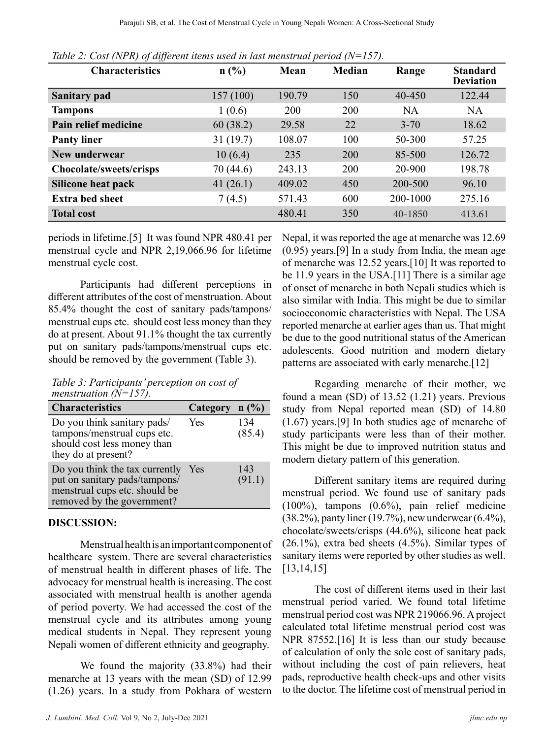| <b>Characteristics</b>         | n(%)        | Mean   | <b>Median</b> | Range     | <b>Standard</b><br><b>Deviation</b> |
|--------------------------------|-------------|--------|---------------|-----------|-------------------------------------|
| <b>Sanitary pad</b>            | 157(100)    | 190.79 | 150           | 40-450    | 122.44                              |
| <b>Tampons</b>                 | 1(0.6)      | 200    | 200           | <b>NA</b> | <b>NA</b>                           |
| Pain relief medicine           | 60(38.2)    | 29.58  | 22            | $3 - 70$  | 18.62                               |
| <b>Panty liner</b>             | 31(19.7)    | 108.07 | 100           | 50-300    | 57.25                               |
| New underwear                  | 10(6.4)     | 235    | 200           | 85-500    | 126.72                              |
| <b>Chocolate/sweets/crisps</b> | 70 (44.6)   | 243.13 | 200           | 20-900    | 198.78                              |
| <b>Silicone heat pack</b>      | 41 $(26.1)$ | 409.02 | 450           | 200-500   | 96.10                               |
| <b>Extra bed sheet</b>         | 7(4.5)      | 571.43 | 600           | 200-1000  | 275.16                              |
| <b>Total cost</b>              |             | 480.41 | 350           | 40-1850   | 413.61                              |

*Table 2: Cost (NPR) of different items used in last menstrual period (N=157).*

periods in lifetime.[5] It was found NPR 480.41 per menstrual cycle and NPR 2,19,066.96 for lifetime menstrual cycle cost.

Participants had different perceptions in different attributes of the cost of menstruation. About 85.4% thought the cost of sanitary pads/tampons/ menstrual cups etc. should cost less money than they do at present. About 91.1% thought the tax currently put on sanitary pads/tampons/menstrual cups etc. should be removed by the government (Table 3).

*Table 3: Participants' perception on cost of menstruation (N=157).*

| <b>Characteristics</b>                                                                                                         | Category $n$ (%) |               |
|--------------------------------------------------------------------------------------------------------------------------------|------------------|---------------|
| Do you think sanitary pads/<br>tampons/menstrual cups etc.<br>should cost less money than<br>they do at present?               | Yes              | 134<br>(85.4) |
| Do you think the tax currently<br>put on sanitary pads/tampons/<br>menstrual cups etc. should be<br>removed by the government? | Yes              | 143<br>(91.1) |

#### **DISCUSSION:**

Menstrual health is an important component of healthcare system. There are several characteristics of menstrual health in different phases of life. The advocacy for menstrual health is increasing. The cost associated with menstrual health is another agenda of period poverty. We had accessed the cost of the menstrual cycle and its attributes among young medical students in Nepal. They represent young Nepali women of different ethnicity and geography.

We found the majority (33.8%) had their menarche at 13 years with the mean (SD) of 12.99 (1.26) years. In a study from Pokhara of western

*J. Lumbini. Med. Coll.* Vol 9, No 2, July-Dec 2021 *jlmc.edu.np*

Nepal, it was reported the age at menarche was 12.69 (0.95) years.[9] In a study from India, the mean age of menarche was 12.52 years.[10] It was reported to be 11.9 years in the USA.<sup>[11]</sup> There is a similar age of onset of menarche in both Nepali studies which is also similar with India. This might be due to similar socioeconomic characteristics with Nepal. The USA reported menarche at earlier ages than us. That might be due to the good nutritional status of the American adolescents. Good nutrition and modern dietary patterns are associated with early menarche.[12]

Regarding menarche of their mother, we found a mean (SD) of 13.52 (1.21) years. Previous study from Nepal reported mean (SD) of 14.80 (1.67) years.[9] In both studies age of menarche of study participants were less than of their mother. This might be due to improved nutrition status and modern dietary pattern of this generation.

Different sanitary items are required during menstrual period. We found use of sanitary pads (100%), tampons (0.6%), pain relief medicine (38.2%), panty liner (19.7%), new underwear (6.4%), chocolate/sweets/crisps (44.6%), silicone heat pack (26.1%), extra bed sheets (4.5%). Similar types of sanitary items were reported by other studies as well. [13,14,15]

The cost of different items used in their last menstrual period varied. We found total lifetime menstrual period cost was NPR 219066.96. A project calculated total lifetime menstrual period cost was NPR 87552.<sup>[16]</sup> It is less than our study because of calculation of only the sole cost of sanitary pads, without including the cost of pain relievers, heat pads, reproductive health check-ups and other visits to the doctor. The lifetime cost of menstrual period in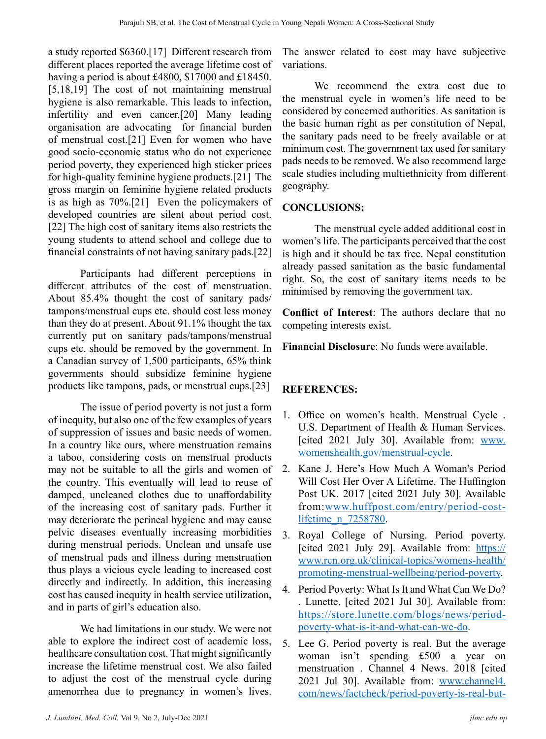a study reported \$6360.[17] Different research from different places reported the average lifetime cost of having a period is about £4800, \$17000 and £18450. [5,18,19] The cost of not maintaining menstrual hygiene is also remarkable. This leads to infection, infertility and even cancer.[20] Many leading organisation are advocating for financial burden of menstrual cost.[21] Even for women who have good socio-economic status who do not experience period poverty, they experienced high sticker prices for high-quality feminine hygiene products.[21] The gross margin on feminine hygiene related products is as high as 70%.[21] Even the policymakers of developed countries are silent about period cost. [22] The high cost of sanitary items also restricts the young students to attend school and college due to financial constraints of not having sanitary pads.[22]

Participants had different perceptions in different attributes of the cost of menstruation. About 85.4% thought the cost of sanitary pads/ tampons/menstrual cups etc. should cost less money than they do at present. About 91.1% thought the tax currently put on sanitary pads/tampons/menstrual cups etc. should be removed by the government. In a Canadian survey of 1,500 participants, 65% think governments should subsidize feminine hygiene products like tampons, pads, or menstrual cups.[23]

The issue of period poverty is not just a form of inequity, but also one of the few examples of years of suppression of issues and basic needs of women. In a country like ours, where menstruation remains a taboo, considering costs on menstrual products may not be suitable to all the girls and women of the country. This eventually will lead to reuse of damped, uncleaned clothes due to unaffordability of the increasing cost of sanitary pads. Further it may deteriorate the perineal hygiene and may cause pelvic diseases eventually increasing morbidities during menstrual periods. Unclean and unsafe use of menstrual pads and illness during menstruation thus plays a vicious cycle leading to increased cost directly and indirectly. In addition, this increasing cost has caused inequity in health service utilization, and in parts of girl's education also.

We had limitations in our study. We were not able to explore the indirect cost of academic loss, healthcare consultation cost. That might significantly increase the lifetime menstrual cost. We also failed to adjust the cost of the menstrual cycle during amenorrhea due to pregnancy in women's lives. The answer related to cost may have subjective variations.

We recommend the extra cost due to the menstrual cycle in women's life need to be considered by concerned authorities. As sanitation is the basic human right as per constitution of Nepal, the sanitary pads need to be freely available or at minimum cost. The government tax used for sanitary pads needs to be removed. We also recommend large scale studies including multiethnicity from different geography.

## **CONCLUSIONS:**

The menstrual cycle added additional cost in women's life. The participants perceived that the cost is high and it should be tax free. Nepal constitution already passed sanitation as the basic fundamental right. So, the cost of sanitary items needs to be minimised by removing the government tax.

**Conflict of Interest**: The authors declare that no competing interests exist.

**Financial Disclosure**: No funds were available.

# **REFERENCES:**

- 1. Office on women's health. Menstrual Cycle . U.S. Department of Health & Human Services. [cited 2021 July 30]. Available from: www. womenshealth.gov/menstrual-cycle.
- 2. Kane J. Here's How Much A Woman's Period Will Cost Her Over A Lifetime. The Huffington Post UK. 2017 [cited 2021 July 30]. Available from:www.huffpost.com/entry/period-costlifetime n 7258780.
- 3. Royal College of Nursing. Period poverty. [cited 2021 July 29]. Available from: https:// www.rcn.org.uk/clinical-topics/womens-health/ promoting-menstrual-wellbeing/period-poverty.
- 4. Period Poverty: What Is It and What Can We Do? . Lunette. [cited 2021 Jul 30]. Available from: https://store.lunette.com/blogs/news/periodpoverty-what-is-it-and-what-can-we-do.
- 5. Lee G. Period poverty is real. But the average woman isn't spending £500 a year on menstruation . Channel 4 News. 2018 [cited 2021 Jul 30]. Available from: www.channel4. com/news/factcheck/period-poverty-is-real-but-